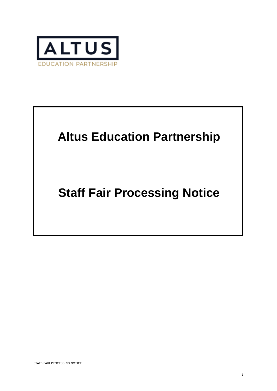

# **Altus Education Partnership**

# **Staff Fair Processing Notice**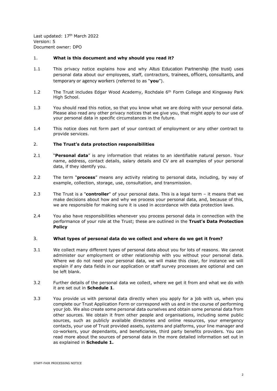Last updated: 17<sup>th</sup> March 2022 Version: 5 Document owner: DPO

## 1. **What is this document and why should you read it?**

- 1.1 This privacy notice explains how and why Altus Education Partnership (the trust) uses personal data about our employees, staff, contractors, trainees, officers, consultants, and temporary or agency workers (referred to as "**you**").
- 1.2 The Trust includes Edgar Wood Academy, Rochdale 6<sup>th</sup> Form College and Kingsway Park High School.
- 1.3 You should read this notice, so that you know what we are doing with your personal data. Please also read any other privacy notices that we give you, that might apply to our use of your personal data in specific circumstances in the future.
- 1.4 This notice does not form part of your contract of employment or any other contract to provide services.

## 2. **The Trust's data protection responsibilities**

- 2.1 "**Personal data**" is any information that relates to an identifiable natural person. Your name, address, contact details, salary details and CV are all examples of your personal data, if they identify you.
- 2.2 The term "**process**" means any activity relating to personal data, including, by way of example, collection, storage, use, consultation, and transmission.
- 2.3 The Trust is a "**controller**" of your personal data. This is a legal term it means that we make decisions about how and why we process your personal data, and, because of this, we are responsible for making sure it is used in accordance with data protection laws.
- 2.4 You also have responsibilities whenever you process personal data in connection with the performance of your role at the Trust; these are outlined in the **Trust's Data Protection Policy**

#### 3. **What types of personal data do we collect and where do we get it from?**

- 3.1 We collect many different types of personal data about you for lots of reasons. We cannot administer our employment or other relationship with you without your personal data. Where we do not need your personal data, we will make this clear, for instance we will explain if any data fields in our application or staff survey processes are optional and can be left blank.
- 3.2 Further details of the personal data we collect, where we get it from and what we do with it are set out in **Schedule 1**.
- 3.3 You provide us with personal data directly when you apply for a job with us, when you complete our Trust Application Form or correspond with us and in the course of performing your job. We also create some personal data ourselves and obtain some personal data from other sources. We obtain it from other people and organisations, including some public sources, such as publicly available directories and online resources, your emergency contacts, your use of Trust provided assets, systems and platforms, your line manager and co-workers, your dependants, and beneficiaries, third party benefits providers. You can read more about the sources of personal data in the more detailed information set out in as explained in **Schedule 1.**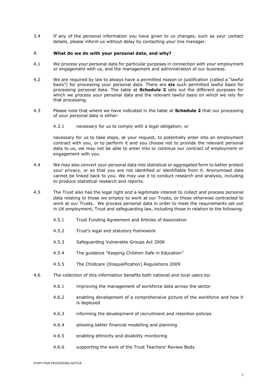3.4 If any of the personal information you have given to us changes, such as your contact details, please inform us without delay by contacting your line manager.

#### 4. **What do we do with your personal data, and why?**

- 4.1 We process your personal data for particular purposes in connection with your employment or engagement with us, and the management and administration of our business.
- 4.2 We are required by law to always have a permitted reason or justification (called a "lawful basis") for processing your personal data. There are **six** such permitted lawful basis for processing personal data. The table at **Schedule 2** sets out the different purposes for which we process your personal data and the relevant lawful basis on which we rely for that processing.
- 4.3 Please note that where we have indicated in the table at **Schedule 2** that our processing of your personal data is either:
	- 4.3.1 necessary for us to comply with a legal obligation; or

necessary for us to take steps, at your request, to potentially enter into an employment contract with you, or to perform it and you choose not to provide the relevant personal data to us, we may not be able to enter into or continue our contract of employment or engagement with you.

- 4.4 We may also convert your personal data into statistical or aggregated form to better protect your privacy, or so that you are not identified or identifiable from it. Anonymised data cannot be linked back to you. We may use it to conduct research and analysis, including to produce statistical research and reports.
- 4.5 The Trust also has the legal right and a legitimate interest to collect and process personal data relating to those we employ to work at our Trusts, or those otherwise contracted to work at our Trusts. We process personal data in order to meet the requirements set out in UK employment, Trust and safeguarding law, including those in relation to the following:
	- 4.5.1 Trust Funding Agreement and Articles of Association
	- 4.5.2 Trust's legal and statutory framework
	- 4.5.3 Safeguarding Vulnerable Groups Act 2006
	- 4.5.4 The guidance "Keeping Children Safe in Education"
	- 4.5.5 The Childcare (Disqualification) Regulations 2009
- 4.6 The collection of this information benefits both national and local users by:
	- 4.6.1 improving the management of workforce data across the sector
	- 4.6.2 enabling development of a comprehensive picture of the workforce and how it is deployed
	- 4.6.3 informing the development of recruitment and retention policies
	- 4.6.4 allowing better financial modelling and planning
	- 4.6.5 enabling ethnicity and disability monitoring
	- 4.6.6 supporting the work of the Trust Teachers' Review Body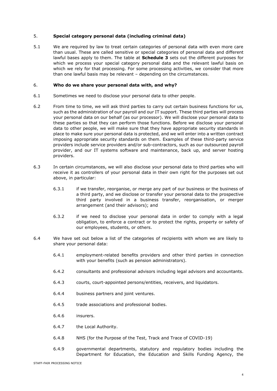## 5. **Special category personal data (including criminal data)**

5.1 We are required by law to treat certain categories of personal data with even more care than usual. These are called sensitive or special categories of personal data and different lawful bases apply to them. The table at **Schedule 3** sets out the different purposes for which we process your special category personal data and the relevant lawful basis on which we rely for that processing. For some processing activities, we consider that more than one lawful basis may be relevant – depending on the circumstances.

#### 6. **Who do we share your personal data with, and why?**

- 6.1 Sometimes we need to disclose your personal data to other people.
- 6.2 From time to time, we will ask third parties to carry out certain business functions for us, such as the administration of our payroll and our IT support. These third parties will process your personal data on our behalf (as our processor). We will disclose your personal data to these parties so that they can perform those functions. Before we disclose your personal data to other people, we will make sure that they have appropriate security standards in place to make sure your personal data is protected, and we will enter into a written contract imposing appropriate security standards on them. Examples of these third-party service providers include service providers and/or sub-contractors, such as our outsourced payroll provider, and our IT systems software and maintenance, back up, and server hosting providers.
- 6.3 In certain circumstances, we will also disclose your personal data to third parties who will receive it as controllers of your personal data in their own right for the purposes set out above, in particular:
	- 6.3.1 if we transfer, reorganise, or merge any part of our business or the business of a third party, and we disclose or transfer your personal data to the prospective third party involved in a business transfer, reorganisation, or merger arrangement (and their advisors); and
	- 6.3.2 if we need to disclose your personal data in order to comply with a legal obligation, to enforce a contract or to protect the rights, property or safety of our employees, students, or others.
- 6.4 We have set out below a list of the categories of recipients with whom we are likely to share your personal data:
	- 6.4.1 employment-related benefits providers and other third parties in connection with your benefits (such as pension administrators).
	- 6.4.2 consultants and professional advisors including legal advisors and accountants.
	- 6.4.3 courts, court-appointed persons/entities, receivers, and liquidators.
	- 6.4.4 business partners and joint ventures.
	- 6.4.5 trade associations and professional bodies.
	- 6.4.6 insurers.
	- 6.4.7 the Local Authority.
	- 6.4.8 NHS (for the Purpose of the Test, Track and Trace of COVID-19)
	- 6.4.9 governmental departments, statutory and regulatory bodies including the Department for Education, the Education and Skills Funding Agency, the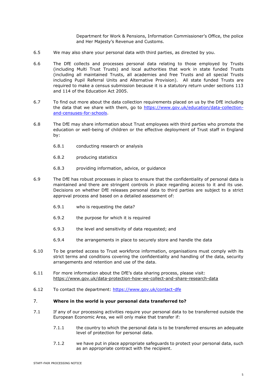Department for Work & Pensions, Information Commissioner's Office, the police and Her Majesty's Revenue and Customs.

- 6.5 We may also share your personal data with third parties, as directed by you.
- 6.6 The DfE collects and processes personal data relating to those employed by Trusts (including Multi Trust Trusts) and local authorities that work in state funded Trusts (including all maintained Trusts, all academies and free Trusts and all special Trusts including Pupil Referral Units and Alternative Provision). All state funded Trusts are required to make a census submission because it is a statutory return under sections 113 and 114 of the Education Act 2005.
- 6.7 To find out more about the data collection requirements placed on us by the DfE including the data that we share with them, go to [https://www.gov.uk/education/data-collection](https://www.gov.uk/education/data-collection-and-censuses-for-schools)[and-censuses-for-schools.](https://www.gov.uk/education/data-collection-and-censuses-for-schools)
- 6.8 The DfE may share information about Trust employees with third parties who promote the education or well-being of children or the effective deployment of Trust staff in England by:
	- 6.8.1 conducting research or analysis
	- 6.8.2 producing statistics
	- 6.8.3 providing information, advice, or guidance
- 6.9 The DfE has robust processes in place to ensure that the confidentiality of personal data is maintained and there are stringent controls in place regarding access to it and its use. Decisions on whether DfE releases personal data to third parties are subject to a strict approval process and based on a detailed assessment of:
	- 6.9.1 who is requesting the data?
	- 6.9.2 the purpose for which it is required
	- 6.9.3 the level and sensitivity of data requested; and
	- 6.9.4 the arrangements in place to securely store and handle the data
- 6.10 To be granted access to Trust workforce information, organisations must comply with its strict terms and conditions covering the confidentiality and handling of the data, security arrangements and retention and use of the data.
- 6.11 For more information about the DfE's data sharing process, please visit: <https://www.gov.uk/data-protection-how-we-collect-and-share-research-data>
- 6.12 To contact the department:<https://www.gov.uk/contact-dfe>

#### 7. **Where in the world is your personal data transferred to?**

- 7.1 If any of our processing activities require your personal data to be transferred outside the European Economic Area, we will only make that transfer if:
	- 7.1.1 the country to which the personal data is to be transferred ensures an adequate level of protection for personal data.
	- 7.1.2 we have put in place appropriate safeguards to protect your personal data, such as an appropriate contract with the recipient.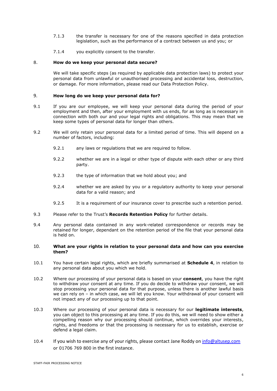- 7.1.3 the transfer is necessary for one of the reasons specified in data protection legislation, such as the performance of a contract between us and you; or
- 7.1.4 you explicitly consent to the transfer.

#### 8. **How do we keep your personal data secure?**

We will take specific steps (as required by applicable data protection laws) to protect your personal data from unlawful or unauthorised processing and accidental loss, destruction, or damage. For more information, please read our Data Protection Policy.

#### 9. **How long do we keep your personal data for?**

- 9.1 If you are our employee, we will keep your personal data during the period of your employment and then, after your employment with us ends, for as long as is necessary in connection with both our and your legal rights and obligations. This may mean that we keep some types of personal data for longer than others.
- <span id="page-5-0"></span>9.2 We will only retain your personal data for a limited period of time. This will depend on a number of factors, including:
	- 9.2.1 any laws or regulations that we are required to follow.
	- 9.2.2 whether we are in a legal or other type of dispute with each other or any third party.
	- 9.2.3 the type of information that we hold about you; and
	- 9.2.4 whether we are asked by you or a regulatory authority to keep your personal data for a valid reason; and
	- 9.2.5 It is a requirement of our insurance cover to prescribe such a retention period.
- 9.3 Please refer to the Trust's **Records Retention Policy** for further details.
- 9.4 Any personal data contained in any work-related correspondence or records may be retained for longer, dependant on the retention period of the file that your personal data is held on.

#### 10. **What are your rights in relation to your personal data and how can you exercise them?**

- 10.1 You have certain legal rights, which are briefly summarised at **Schedule 4**, in relation to any personal data about you which we hold.
- 10.2 Where our processing of your personal data is based on your **consent**, you have the right to withdraw your consent at any time. If you do decide to withdraw your consent, we will stop processing your personal data for that purpose, unless there is another lawful basis we can rely on – in which case, we will let you know. Your withdrawal of your consent will not impact any of our processing up to that point.
- 10.3 Where our processing of your personal data is necessary for our **legitimate interests**, you can object to this processing at any time. If you do this, we will need to show either a compelling reason why our processing should continue, which overrides your interests, rights, and freedoms or that the processing is necessary for us to establish, exercise or defend a legal claim.
- 10.4 If you wish to exercise any of your rights, please contact Jane Roddy on [info@altusep.com](mailto:info@altusep.com) or 01706 769 800 in the first instance.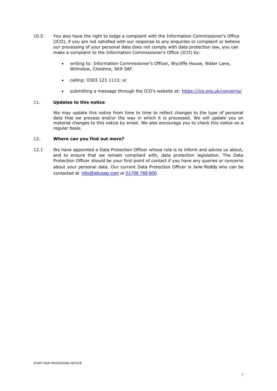- 10.5 You also have the right to lodge a complaint with the Information Commissioner's Office (ICO), if you are not satisfied with our response to any enquiries or complaint or believe our processing of your personal data does not comply with data protection law, you can make a complaint to the Information Commissioner's Office (ICO) by:
	- writing to: Information Commissioner's Officer, Wycliffe House, Water Lane, Wilmslow, Cheshire, SK9 5AF.
	- calling: 0303 123 1113; or
	- submitting a message through the ICO's website at: <https://ico.org.uk/concerns/>

## 11. **Updates to this notice**

We may update this notice from time to time to reflect changes to the type of personal data that we process and/or the way in which it is processed. We will update you on material changes to this notice by email. We also encourage you to check this notice on a regular basis.

## 12. **Where can you find out more?**

12.1 We have appointed a Data Protection Officer whose role is to inform and advise us about, and to ensure that we remain compliant with, data protection legislation. The Data Protection Officer should be your first point of contact if you have any queries or concerns about your personal data. Our current Data Protection Officer is Jane Roddy who can be contacted at [info@altusep.com](mailto:info@altusep.com) or [01706 769 800.](tel:+441706769800)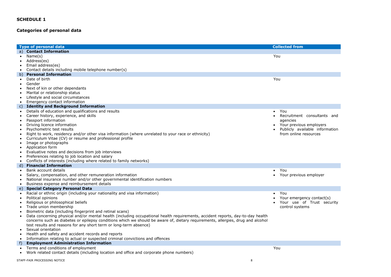## **Categories of personal data**

|                        | <b>Type of personal data</b>                                                                                                        | <b>Collected from</b>                                     |
|------------------------|-------------------------------------------------------------------------------------------------------------------------------------|-----------------------------------------------------------|
| a)                     | <b>Contact Information</b>                                                                                                          |                                                           |
| $\bullet$              | Name(s)                                                                                                                             | You                                                       |
|                        | Address(es)                                                                                                                         |                                                           |
| $\bullet$              | Email address(es)                                                                                                                   |                                                           |
| $\bullet$              | Contact details including mobile telephone number(s)                                                                                |                                                           |
|                        | b) Personal Information                                                                                                             |                                                           |
| $\bullet$              | Date of birth                                                                                                                       | You                                                       |
| $\bullet$              | Gender                                                                                                                              |                                                           |
|                        | Next of kin or other dependants                                                                                                     |                                                           |
| $\bullet$              | Marital or relationship status                                                                                                      |                                                           |
|                        | Lifestyle and social circumstances                                                                                                  |                                                           |
| $\bullet$              | Emergency contact information                                                                                                       |                                                           |
|                        | c) Identity and Background Information                                                                                              |                                                           |
| $\bullet$              | Details of education and qualifications and results                                                                                 | You                                                       |
| $\bullet$              | Career history, experience, and skills                                                                                              | Recruitment consultants and                               |
| $\bullet$              | Passport information                                                                                                                | agencies                                                  |
| $\bullet$<br>$\bullet$ | Driving licence information<br>Psychometric test results                                                                            | Your previous employers<br>Publicly available information |
|                        | Right to work, residency and/or other visa information (where unrelated to your race or ethnicity)                                  | from online resources                                     |
| $\bullet$              | Curriculum Vitae (CV) or resume and professional profile                                                                            |                                                           |
|                        | Image or photographs                                                                                                                |                                                           |
|                        | Application form                                                                                                                    |                                                           |
| ٠                      | Evaluative notes and decisions from job interviews                                                                                  |                                                           |
|                        | Preferences relating to job location and salary                                                                                     |                                                           |
| $\bullet$              | Conflicts of interests (including where related to family networks)                                                                 |                                                           |
| d)                     | <b>Financial Information</b>                                                                                                        |                                                           |
| $\bullet$              | Bank account details                                                                                                                | You                                                       |
| $\bullet$              | Salary, compensation, and other remuneration information                                                                            | Your previous employer                                    |
| $\bullet$              | National insurance number and/or other governmental identification numbers                                                          |                                                           |
| $\bullet$              | Business expense and reimbursement details                                                                                          |                                                           |
| e)                     | <b>Special Category Personal Data</b>                                                                                               |                                                           |
|                        | Racial or ethnic origin (including your nationality and visa information)                                                           | You                                                       |
| $\bullet$              | Political opinions                                                                                                                  | Your emergency contact(s)                                 |
| $\bullet$              | Religious or philosophical beliefs                                                                                                  | Your use of Trust security                                |
|                        | Trade union membership                                                                                                              | control systems                                           |
| $\bullet$              | Biometric data (including fingerprint and retinal scans)                                                                            |                                                           |
| $\bullet$              | Data concerning physical and/or mental health (including occupational health requirements, accident reports, day-to-day health      |                                                           |
|                        | concerns such as diabetes or epilepsy conditions which we should be aware of, dietary requirements, allergies, drug and alcohol     |                                                           |
|                        | test results and reasons for any short term or long-term absence)                                                                   |                                                           |
|                        | Sexual orientation                                                                                                                  |                                                           |
|                        | Health and safety and accident records and reports<br>Information relating to actual or suspected criminal convictions and offences |                                                           |
| ٠                      | <b>Employment Administration Information</b>                                                                                        |                                                           |
|                        | Terms and conditions of employment                                                                                                  | You                                                       |
|                        | Work related contact details (including location and office and corporate phone numbers)                                            |                                                           |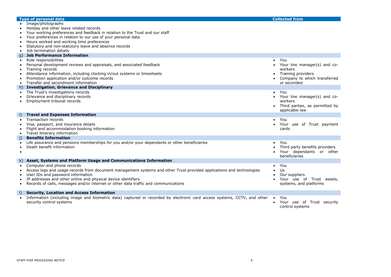|                                     | <b>Type of personal data</b>                                                                                                                                                                                                                                                                                                                     |                        | <b>Collected from</b>                                                                                               |
|-------------------------------------|--------------------------------------------------------------------------------------------------------------------------------------------------------------------------------------------------------------------------------------------------------------------------------------------------------------------------------------------------|------------------------|---------------------------------------------------------------------------------------------------------------------|
|                                     | • Image/photographs<br>Holiday and other leave related records<br>Your working preferences and feedback in relation to the Trust and our staff                                                                                                                                                                                                   |                        |                                                                                                                     |
|                                     | Your preferences in relation to our use of your personal data<br>Hours worked and working time preferences                                                                                                                                                                                                                                       |                        |                                                                                                                     |
| $\bullet$                           | Statutory and non-statutory leave and absence records<br>Job termination details                                                                                                                                                                                                                                                                 |                        |                                                                                                                     |
| q)                                  | <b>Job Performance Information</b>                                                                                                                                                                                                                                                                                                               |                        |                                                                                                                     |
| $\bullet$<br>$\bullet$<br>$\bullet$ | Role responsibilities<br>Personal development reviews and appraisals, and associated feedback<br>Training records<br>Attendance information, including clocking in/out systems or timesheets<br>Promotion application and/or outcome records<br>Transfer and secondment information                                                              | $\bullet$<br>$\bullet$ | You<br>Your line manager(s) and co-<br>workers<br>Training providers<br>Company to which transferred<br>or seconded |
|                                     | h) Investigation, Grievance and Disciplinary                                                                                                                                                                                                                                                                                                     |                        |                                                                                                                     |
|                                     | The Trust's investigations records<br>Grievance and disciplinary records<br>Employment tribunal records                                                                                                                                                                                                                                          |                        | You<br>Your line manager(s) and co-<br>workers<br>• Third parties, as permitted by<br>applicable law                |
| $\left  \cdot \right $              | <b>Travel and Expenses Information</b>                                                                                                                                                                                                                                                                                                           |                        |                                                                                                                     |
|                                     | <b>Transaction records</b>                                                                                                                                                                                                                                                                                                                       | $\bullet$              | You                                                                                                                 |
|                                     | Visa, passport, and insurance details<br>Flight and accommodation booking information<br>Travel itinerary information                                                                                                                                                                                                                            |                        | Your use of Trust payment<br>cards                                                                                  |
| j)                                  | <b>Benefits Information</b>                                                                                                                                                                                                                                                                                                                      |                        |                                                                                                                     |
| $\bullet$                           | Life assurance and pensions memberships for you and/or your dependants or other beneficiaries<br>Death benefit information                                                                                                                                                                                                                       | $\bullet$              | You<br>Third party benefits providers<br>Your dependants or other<br>beneficiaries                                  |
|                                     | k) Asset, Systems and Platform Usage and Communications Information                                                                                                                                                                                                                                                                              |                        |                                                                                                                     |
|                                     | Computer and phone records<br>Access logs and usage records from document management systems and other Trust provided applications and technologies<br>User IDs and password information<br>IP addresses and other online and physical device identifiers<br>Records of calls, messages and/or internet or other data traffic and communications | $\bullet$              | You<br>Us<br>Our suppliers<br>Your use of Trust assets,<br>systems, and platforms                                   |
| $\vert$                             | <b>Security, Location and Access Information</b>                                                                                                                                                                                                                                                                                                 |                        |                                                                                                                     |
|                                     | Information (including image and biometric data) captured or recorded by electronic card access systems, CCTV, and other<br>security control systems                                                                                                                                                                                             | $\bullet$              | You<br>Your use of Trust security<br>control systems                                                                |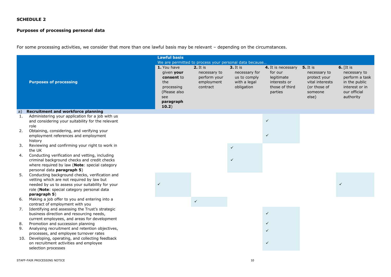## **Purposes of processing personal data**

For some processing activities, we consider that more than one lawful basis may be relevant – depending on the circumstances.

|     |                                                                                                                                                                                                               | <b>Lawful basis</b>                                                                                       |                                                                           |                                                                                |                                                                                          |                                                                                                        |                                                                                                               |
|-----|---------------------------------------------------------------------------------------------------------------------------------------------------------------------------------------------------------------|-----------------------------------------------------------------------------------------------------------|---------------------------------------------------------------------------|--------------------------------------------------------------------------------|------------------------------------------------------------------------------------------|--------------------------------------------------------------------------------------------------------|---------------------------------------------------------------------------------------------------------------|
|     |                                                                                                                                                                                                               |                                                                                                           | We are permitted to process your personal data because                    |                                                                                |                                                                                          |                                                                                                        |                                                                                                               |
|     | <b>Purposes of processing</b>                                                                                                                                                                                 | 1. You have<br>given your<br>consent to<br>the<br>processing<br>(Please also<br>see<br>paragraph<br>10.2) | <b>2.</b> It is<br>necessary to<br>perform your<br>employment<br>contract | <b>3.</b> It is<br>necessary for<br>us to comply<br>with a legal<br>obligation | 4. It is necessary<br>for our<br>legitimate<br>interests or<br>those of third<br>parties | <b>5.</b> It is<br>necessary to<br>protect your<br>vital interests<br>(or those of<br>someone<br>else) | $6.$ [It is<br>necessary to<br>perform a task<br>in the public<br>interest or in<br>our official<br>authority |
| a)  | <b>Recruitment and workforce planning</b>                                                                                                                                                                     |                                                                                                           |                                                                           |                                                                                |                                                                                          |                                                                                                        |                                                                                                               |
| 1.  | Administering your application for a job with us<br>and considering your suitability for the relevant<br>role                                                                                                 |                                                                                                           |                                                                           |                                                                                | $\checkmark$                                                                             |                                                                                                        |                                                                                                               |
| 2.  | Obtaining, considering, and verifying your<br>employment references and employment<br>history                                                                                                                 |                                                                                                           |                                                                           |                                                                                | $\checkmark$                                                                             |                                                                                                        |                                                                                                               |
| 3.  | Reviewing and confirming your right to work in<br>the UK                                                                                                                                                      |                                                                                                           |                                                                           | $\checkmark$                                                                   |                                                                                          |                                                                                                        |                                                                                                               |
| 4.  | Conducting verification and vetting, including<br>criminal background checks and credit checks<br>where required by law (Note: special category<br>personal data paragraph 5)                                 |                                                                                                           |                                                                           | $\checkmark$                                                                   |                                                                                          |                                                                                                        |                                                                                                               |
| 5.  | Conducting background checks, verification and<br>vetting which are not required by law but<br>needed by us to assess your suitability for your<br>role (Note: special category personal data<br>paragraph 5) |                                                                                                           |                                                                           |                                                                                |                                                                                          |                                                                                                        |                                                                                                               |
| 6.  | Making a job offer to you and entering into a<br>contract of employment with you                                                                                                                              |                                                                                                           | $\checkmark$                                                              |                                                                                |                                                                                          |                                                                                                        |                                                                                                               |
| 7.  | Identifying and assessing the Trust's strategic<br>business direction and resourcing needs,<br>current employees, and areas for development                                                                   |                                                                                                           |                                                                           |                                                                                | $\checkmark$                                                                             |                                                                                                        |                                                                                                               |
| 8.  | Promotion and succession planning                                                                                                                                                                             |                                                                                                           |                                                                           |                                                                                | $\checkmark$                                                                             |                                                                                                        |                                                                                                               |
| 9.  | Analysing recruitment and retention objectives,<br>processes, and employee turnover rates                                                                                                                     |                                                                                                           |                                                                           |                                                                                | $\checkmark$                                                                             |                                                                                                        |                                                                                                               |
| 10. | Developing, operating, and collecting feedback<br>on recruitment activities and employee<br>selection processes                                                                                               |                                                                                                           |                                                                           |                                                                                | $\checkmark$                                                                             |                                                                                                        |                                                                                                               |
|     | STAFF-FAIR PROCESSING NOTICE                                                                                                                                                                                  |                                                                                                           |                                                                           | 10                                                                             |                                                                                          |                                                                                                        |                                                                                                               |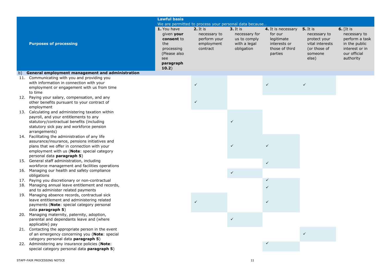|     |                                                                                                                                                                                                                             | <b>Lawful basis</b>                                                                                       |                                                                    |                                                                                                                                          |                                                                                          |                                                                                                        |                                                                                                               |
|-----|-----------------------------------------------------------------------------------------------------------------------------------------------------------------------------------------------------------------------------|-----------------------------------------------------------------------------------------------------------|--------------------------------------------------------------------|------------------------------------------------------------------------------------------------------------------------------------------|------------------------------------------------------------------------------------------|--------------------------------------------------------------------------------------------------------|---------------------------------------------------------------------------------------------------------------|
|     | <b>Purposes of processing</b>                                                                                                                                                                                               | 1. You have<br>given your<br>consent to<br>the<br>processing<br>(Please also<br>see<br>paragraph<br>10.2) | 2. It is<br>necessary to<br>perform your<br>employment<br>contract | We are permitted to process your personal data because<br><b>3.</b> It is<br>necessary for<br>us to comply<br>with a legal<br>obligation | 4. It is necessary<br>for our<br>legitimate<br>interests or<br>those of third<br>parties | <b>5.</b> It is<br>necessary to<br>protect your<br>vital interests<br>(or those of<br>someone<br>else) | $6.$ [It is<br>necessary to<br>perform a task<br>in the public<br>interest or in<br>our official<br>authority |
| b)  | General employment management and administration                                                                                                                                                                            |                                                                                                           |                                                                    |                                                                                                                                          |                                                                                          |                                                                                                        |                                                                                                               |
| 11. | Communicating with you and providing you<br>with information in connection with your<br>employment or engagement with us from time<br>to time                                                                               |                                                                                                           | ✓                                                                  |                                                                                                                                          | $\checkmark$                                                                             | $\checkmark$                                                                                           |                                                                                                               |
|     | 12. Paying your salary, compensation, and any<br>other benefits pursuant to your contract of<br>employment                                                                                                                  |                                                                                                           |                                                                    |                                                                                                                                          |                                                                                          |                                                                                                        |                                                                                                               |
|     | 13. Calculating and administering taxation within<br>payroll, and your entitlements to any<br>statutory/contractual benefits (including<br>statutory sick pay and workforce pension<br>arrangements)                        |                                                                                                           |                                                                    | $\checkmark$                                                                                                                             |                                                                                          |                                                                                                        |                                                                                                               |
|     | 14. Facilitating the administration of any life<br>assurance/insurance, pensions initiatives and<br>plans that we offer in connection with your<br>employment with us (Note: special category<br>personal data paragraph 5) |                                                                                                           |                                                                    | $\checkmark$                                                                                                                             |                                                                                          |                                                                                                        |                                                                                                               |
|     | 15. General staff administration, including                                                                                                                                                                                 |                                                                                                           |                                                                    |                                                                                                                                          | $\checkmark$                                                                             |                                                                                                        |                                                                                                               |
|     | workforce management and facilities operations<br>16. Managing our health and safety compliance                                                                                                                             |                                                                                                           |                                                                    | $\checkmark$                                                                                                                             |                                                                                          |                                                                                                        |                                                                                                               |
|     | obligations<br>17. Paying you discretionary or non-contractual                                                                                                                                                              |                                                                                                           |                                                                    |                                                                                                                                          |                                                                                          |                                                                                                        |                                                                                                               |
|     | 18. Managing annual leave entitlement and records,<br>and to administer related payments                                                                                                                                    |                                                                                                           |                                                                    |                                                                                                                                          |                                                                                          |                                                                                                        |                                                                                                               |
|     | 19. Managing absence records, contractual sick<br>leave entitlement and administering related<br>payments (Note: special category personal<br>data paragraph 5)                                                             |                                                                                                           |                                                                    |                                                                                                                                          | ✓                                                                                        |                                                                                                        |                                                                                                               |
|     | 20. Managing maternity, paternity, adoption,<br>parental and dependants leave and (where<br>applicable) pay                                                                                                                 |                                                                                                           |                                                                    | $\checkmark$                                                                                                                             |                                                                                          |                                                                                                        |                                                                                                               |
|     | 21. Contacting the appropriate person in the event<br>of an emergency concerning you (Note: special                                                                                                                         |                                                                                                           |                                                                    |                                                                                                                                          |                                                                                          | $\checkmark$                                                                                           |                                                                                                               |
|     | category personal data paragraph 5)<br>22. Administering any insurance policies (Note:<br>special category personal data paragraph 5)                                                                                       |                                                                                                           |                                                                    |                                                                                                                                          |                                                                                          |                                                                                                        |                                                                                                               |
|     | STAFF-FAIR PROCESSING NOTICE                                                                                                                                                                                                |                                                                                                           |                                                                    | 11                                                                                                                                       |                                                                                          |                                                                                                        |                                                                                                               |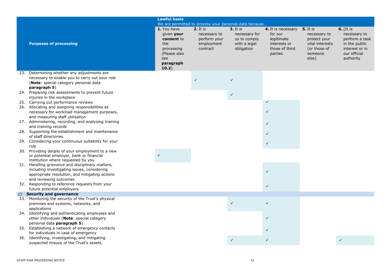| <b>Lawful basis</b><br>We are permitted to process your personal data because<br>1. You have<br>2. It is<br><b>6.</b> [It is<br>$3.$ It is<br><b>5.</b> It is<br>4. It is necessary<br>given your<br>necessary for<br>for our<br>necessary to<br>necessary to<br>necessary to<br>consent to<br>perform your<br>us to comply<br>legitimate<br>protect your<br><b>Purposes of processing</b><br>in the public<br>the<br>employment<br>with a legal<br>interests or<br>vital interests<br>contract<br>obligation<br>those of third<br>(or those of<br>interest or in<br>processing<br>our official<br>(Please also<br>parties<br>someone<br>else)<br>authority<br>see<br>paragraph<br>10.2)<br>23. Determining whether any adjustments are<br>necessary to enable you to carry out your role<br>$\checkmark$<br>$\checkmark$<br>(Note: special category personal data<br>paragraph 5)<br>24. Preparing risk assessments to prevent future<br>$\checkmark$<br>injuries in the workplace<br>25. Carrying out performance reviews<br>$\checkmark$<br>26. Allocating and assigning responsibilities as<br>$\checkmark$<br>necessary for workload management purposes,<br>and measuring staff utilisation<br>27. Administering, recording, and analysing training<br>$\checkmark$<br>and training records<br>28. Supporting the establishment and maintenance<br>$\checkmark$<br>of staff directories<br>29. Considering your continuous suitability for your<br>$\checkmark$<br>role<br>30. Providing details of your employment to a new<br>or potential employer, bank or financial<br>institution where requested by you<br>31. Handling grievance and disciplinary matters,<br>including investigating issues, considering<br>$\checkmark$<br>appropriate resolution, and mitigating actions<br>and reviewing outcomes<br>32. Responding to reference requests from your<br>$\checkmark$<br>future potential employers<br><b>Security and governance</b><br>$\mathsf{C}$ )<br>33. Monitoring the security of the Trust's physical<br>$\checkmark$<br>$\checkmark$<br>premises and systems, networks, and<br>applications<br>34. Identifying and authenticating employees and<br>$\checkmark$<br>other individuals (Note: special category<br>personal data paragraph 5)<br>35. Establishing a network of emergency contacts<br>for individuals in case of emergency<br>36. Identifying, investigating, and mitigating<br>$\checkmark$<br>$\checkmark$<br>$\checkmark$<br>suspected misuse of the Trust's assets, |  |  |  |                |
|---------------------------------------------------------------------------------------------------------------------------------------------------------------------------------------------------------------------------------------------------------------------------------------------------------------------------------------------------------------------------------------------------------------------------------------------------------------------------------------------------------------------------------------------------------------------------------------------------------------------------------------------------------------------------------------------------------------------------------------------------------------------------------------------------------------------------------------------------------------------------------------------------------------------------------------------------------------------------------------------------------------------------------------------------------------------------------------------------------------------------------------------------------------------------------------------------------------------------------------------------------------------------------------------------------------------------------------------------------------------------------------------------------------------------------------------------------------------------------------------------------------------------------------------------------------------------------------------------------------------------------------------------------------------------------------------------------------------------------------------------------------------------------------------------------------------------------------------------------------------------------------------------------------------------------------------------------------------------------------------------------------------------------------------------------------------------------------------------------------------------------------------------------------------------------------------------------------------------------------------------------------------------------------------------------------------------------------------------------------------------------------------------------------------------------------------------------------------------------------------------------------|--|--|--|----------------|
|                                                                                                                                                                                                                                                                                                                                                                                                                                                                                                                                                                                                                                                                                                                                                                                                                                                                                                                                                                                                                                                                                                                                                                                                                                                                                                                                                                                                                                                                                                                                                                                                                                                                                                                                                                                                                                                                                                                                                                                                                                                                                                                                                                                                                                                                                                                                                                                                                                                                                                               |  |  |  |                |
|                                                                                                                                                                                                                                                                                                                                                                                                                                                                                                                                                                                                                                                                                                                                                                                                                                                                                                                                                                                                                                                                                                                                                                                                                                                                                                                                                                                                                                                                                                                                                                                                                                                                                                                                                                                                                                                                                                                                                                                                                                                                                                                                                                                                                                                                                                                                                                                                                                                                                                               |  |  |  |                |
|                                                                                                                                                                                                                                                                                                                                                                                                                                                                                                                                                                                                                                                                                                                                                                                                                                                                                                                                                                                                                                                                                                                                                                                                                                                                                                                                                                                                                                                                                                                                                                                                                                                                                                                                                                                                                                                                                                                                                                                                                                                                                                                                                                                                                                                                                                                                                                                                                                                                                                               |  |  |  | perform a task |
|                                                                                                                                                                                                                                                                                                                                                                                                                                                                                                                                                                                                                                                                                                                                                                                                                                                                                                                                                                                                                                                                                                                                                                                                                                                                                                                                                                                                                                                                                                                                                                                                                                                                                                                                                                                                                                                                                                                                                                                                                                                                                                                                                                                                                                                                                                                                                                                                                                                                                                               |  |  |  |                |
|                                                                                                                                                                                                                                                                                                                                                                                                                                                                                                                                                                                                                                                                                                                                                                                                                                                                                                                                                                                                                                                                                                                                                                                                                                                                                                                                                                                                                                                                                                                                                                                                                                                                                                                                                                                                                                                                                                                                                                                                                                                                                                                                                                                                                                                                                                                                                                                                                                                                                                               |  |  |  |                |
|                                                                                                                                                                                                                                                                                                                                                                                                                                                                                                                                                                                                                                                                                                                                                                                                                                                                                                                                                                                                                                                                                                                                                                                                                                                                                                                                                                                                                                                                                                                                                                                                                                                                                                                                                                                                                                                                                                                                                                                                                                                                                                                                                                                                                                                                                                                                                                                                                                                                                                               |  |  |  |                |
|                                                                                                                                                                                                                                                                                                                                                                                                                                                                                                                                                                                                                                                                                                                                                                                                                                                                                                                                                                                                                                                                                                                                                                                                                                                                                                                                                                                                                                                                                                                                                                                                                                                                                                                                                                                                                                                                                                                                                                                                                                                                                                                                                                                                                                                                                                                                                                                                                                                                                                               |  |  |  |                |
|                                                                                                                                                                                                                                                                                                                                                                                                                                                                                                                                                                                                                                                                                                                                                                                                                                                                                                                                                                                                                                                                                                                                                                                                                                                                                                                                                                                                                                                                                                                                                                                                                                                                                                                                                                                                                                                                                                                                                                                                                                                                                                                                                                                                                                                                                                                                                                                                                                                                                                               |  |  |  |                |
|                                                                                                                                                                                                                                                                                                                                                                                                                                                                                                                                                                                                                                                                                                                                                                                                                                                                                                                                                                                                                                                                                                                                                                                                                                                                                                                                                                                                                                                                                                                                                                                                                                                                                                                                                                                                                                                                                                                                                                                                                                                                                                                                                                                                                                                                                                                                                                                                                                                                                                               |  |  |  |                |
|                                                                                                                                                                                                                                                                                                                                                                                                                                                                                                                                                                                                                                                                                                                                                                                                                                                                                                                                                                                                                                                                                                                                                                                                                                                                                                                                                                                                                                                                                                                                                                                                                                                                                                                                                                                                                                                                                                                                                                                                                                                                                                                                                                                                                                                                                                                                                                                                                                                                                                               |  |  |  |                |
|                                                                                                                                                                                                                                                                                                                                                                                                                                                                                                                                                                                                                                                                                                                                                                                                                                                                                                                                                                                                                                                                                                                                                                                                                                                                                                                                                                                                                                                                                                                                                                                                                                                                                                                                                                                                                                                                                                                                                                                                                                                                                                                                                                                                                                                                                                                                                                                                                                                                                                               |  |  |  |                |
|                                                                                                                                                                                                                                                                                                                                                                                                                                                                                                                                                                                                                                                                                                                                                                                                                                                                                                                                                                                                                                                                                                                                                                                                                                                                                                                                                                                                                                                                                                                                                                                                                                                                                                                                                                                                                                                                                                                                                                                                                                                                                                                                                                                                                                                                                                                                                                                                                                                                                                               |  |  |  |                |
|                                                                                                                                                                                                                                                                                                                                                                                                                                                                                                                                                                                                                                                                                                                                                                                                                                                                                                                                                                                                                                                                                                                                                                                                                                                                                                                                                                                                                                                                                                                                                                                                                                                                                                                                                                                                                                                                                                                                                                                                                                                                                                                                                                                                                                                                                                                                                                                                                                                                                                               |  |  |  |                |
|                                                                                                                                                                                                                                                                                                                                                                                                                                                                                                                                                                                                                                                                                                                                                                                                                                                                                                                                                                                                                                                                                                                                                                                                                                                                                                                                                                                                                                                                                                                                                                                                                                                                                                                                                                                                                                                                                                                                                                                                                                                                                                                                                                                                                                                                                                                                                                                                                                                                                                               |  |  |  |                |
|                                                                                                                                                                                                                                                                                                                                                                                                                                                                                                                                                                                                                                                                                                                                                                                                                                                                                                                                                                                                                                                                                                                                                                                                                                                                                                                                                                                                                                                                                                                                                                                                                                                                                                                                                                                                                                                                                                                                                                                                                                                                                                                                                                                                                                                                                                                                                                                                                                                                                                               |  |  |  |                |
|                                                                                                                                                                                                                                                                                                                                                                                                                                                                                                                                                                                                                                                                                                                                                                                                                                                                                                                                                                                                                                                                                                                                                                                                                                                                                                                                                                                                                                                                                                                                                                                                                                                                                                                                                                                                                                                                                                                                                                                                                                                                                                                                                                                                                                                                                                                                                                                                                                                                                                               |  |  |  |                |
|                                                                                                                                                                                                                                                                                                                                                                                                                                                                                                                                                                                                                                                                                                                                                                                                                                                                                                                                                                                                                                                                                                                                                                                                                                                                                                                                                                                                                                                                                                                                                                                                                                                                                                                                                                                                                                                                                                                                                                                                                                                                                                                                                                                                                                                                                                                                                                                                                                                                                                               |  |  |  |                |
|                                                                                                                                                                                                                                                                                                                                                                                                                                                                                                                                                                                                                                                                                                                                                                                                                                                                                                                                                                                                                                                                                                                                                                                                                                                                                                                                                                                                                                                                                                                                                                                                                                                                                                                                                                                                                                                                                                                                                                                                                                                                                                                                                                                                                                                                                                                                                                                                                                                                                                               |  |  |  |                |
|                                                                                                                                                                                                                                                                                                                                                                                                                                                                                                                                                                                                                                                                                                                                                                                                                                                                                                                                                                                                                                                                                                                                                                                                                                                                                                                                                                                                                                                                                                                                                                                                                                                                                                                                                                                                                                                                                                                                                                                                                                                                                                                                                                                                                                                                                                                                                                                                                                                                                                               |  |  |  |                |
|                                                                                                                                                                                                                                                                                                                                                                                                                                                                                                                                                                                                                                                                                                                                                                                                                                                                                                                                                                                                                                                                                                                                                                                                                                                                                                                                                                                                                                                                                                                                                                                                                                                                                                                                                                                                                                                                                                                                                                                                                                                                                                                                                                                                                                                                                                                                                                                                                                                                                                               |  |  |  |                |
|                                                                                                                                                                                                                                                                                                                                                                                                                                                                                                                                                                                                                                                                                                                                                                                                                                                                                                                                                                                                                                                                                                                                                                                                                                                                                                                                                                                                                                                                                                                                                                                                                                                                                                                                                                                                                                                                                                                                                                                                                                                                                                                                                                                                                                                                                                                                                                                                                                                                                                               |  |  |  |                |
|                                                                                                                                                                                                                                                                                                                                                                                                                                                                                                                                                                                                                                                                                                                                                                                                                                                                                                                                                                                                                                                                                                                                                                                                                                                                                                                                                                                                                                                                                                                                                                                                                                                                                                                                                                                                                                                                                                                                                                                                                                                                                                                                                                                                                                                                                                                                                                                                                                                                                                               |  |  |  |                |
|                                                                                                                                                                                                                                                                                                                                                                                                                                                                                                                                                                                                                                                                                                                                                                                                                                                                                                                                                                                                                                                                                                                                                                                                                                                                                                                                                                                                                                                                                                                                                                                                                                                                                                                                                                                                                                                                                                                                                                                                                                                                                                                                                                                                                                                                                                                                                                                                                                                                                                               |  |  |  |                |
|                                                                                                                                                                                                                                                                                                                                                                                                                                                                                                                                                                                                                                                                                                                                                                                                                                                                                                                                                                                                                                                                                                                                                                                                                                                                                                                                                                                                                                                                                                                                                                                                                                                                                                                                                                                                                                                                                                                                                                                                                                                                                                                                                                                                                                                                                                                                                                                                                                                                                                               |  |  |  |                |
|                                                                                                                                                                                                                                                                                                                                                                                                                                                                                                                                                                                                                                                                                                                                                                                                                                                                                                                                                                                                                                                                                                                                                                                                                                                                                                                                                                                                                                                                                                                                                                                                                                                                                                                                                                                                                                                                                                                                                                                                                                                                                                                                                                                                                                                                                                                                                                                                                                                                                                               |  |  |  |                |
|                                                                                                                                                                                                                                                                                                                                                                                                                                                                                                                                                                                                                                                                                                                                                                                                                                                                                                                                                                                                                                                                                                                                                                                                                                                                                                                                                                                                                                                                                                                                                                                                                                                                                                                                                                                                                                                                                                                                                                                                                                                                                                                                                                                                                                                                                                                                                                                                                                                                                                               |  |  |  |                |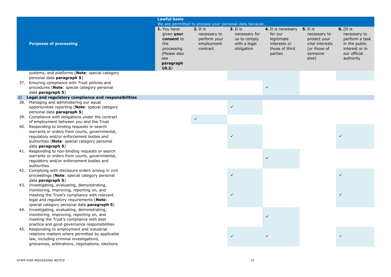|    |                                                                                                   | <b>Lawful basis</b>                                                                                       |                                                                      |                                                                           |                                                                                          |                                                                                                        |                                                                                                               |
|----|---------------------------------------------------------------------------------------------------|-----------------------------------------------------------------------------------------------------------|----------------------------------------------------------------------|---------------------------------------------------------------------------|------------------------------------------------------------------------------------------|--------------------------------------------------------------------------------------------------------|---------------------------------------------------------------------------------------------------------------|
|    |                                                                                                   |                                                                                                           | We are permitted to process your personal data because               |                                                                           |                                                                                          |                                                                                                        |                                                                                                               |
|    | <b>Purposes of processing</b>                                                                     | 1. You have<br>given your<br>consent to<br>the<br>processing<br>(Please also<br>see<br>paragraph<br>10.2) | $2.$ It is<br>necessary to<br>perform your<br>employment<br>contract | $3.$ It is<br>necessary for<br>us to comply<br>with a legal<br>obligation | 4. It is necessary<br>for our<br>legitimate<br>interests or<br>those of third<br>parties | <b>5.</b> It is<br>necessary to<br>protect your<br>vital interests<br>(or those of<br>someone<br>else) | $6.$ [It is<br>necessary to<br>perform a task<br>in the public<br>interest or in<br>our official<br>authority |
|    | systems, and platforms (Note: special category                                                    |                                                                                                           |                                                                      |                                                                           |                                                                                          |                                                                                                        |                                                                                                               |
|    | personal data paragraph 5)                                                                        |                                                                                                           |                                                                      |                                                                           |                                                                                          |                                                                                                        |                                                                                                               |
|    | 37. Ensuring compliance with Trust policies and                                                   |                                                                                                           |                                                                      |                                                                           |                                                                                          |                                                                                                        |                                                                                                               |
|    | procedures (Note: special category personal                                                       |                                                                                                           |                                                                      |                                                                           | $\checkmark$                                                                             |                                                                                                        |                                                                                                               |
|    | data paragraph 5)                                                                                 |                                                                                                           |                                                                      |                                                                           |                                                                                          |                                                                                                        |                                                                                                               |
| d) | Legal and regulatory compliance and responsibilities<br>38. Managing and administering our equal  |                                                                                                           |                                                                      |                                                                           |                                                                                          |                                                                                                        |                                                                                                               |
|    | opportunities reporting (Note: special category                                                   |                                                                                                           |                                                                      | $\checkmark$                                                              |                                                                                          |                                                                                                        |                                                                                                               |
|    | personal data paragraph 5)                                                                        |                                                                                                           |                                                                      |                                                                           |                                                                                          |                                                                                                        |                                                                                                               |
|    | 39. Compliance with obligations under the contract                                                |                                                                                                           |                                                                      |                                                                           |                                                                                          |                                                                                                        |                                                                                                               |
|    | of employment between you and the Trust                                                           |                                                                                                           | $\checkmark$                                                         |                                                                           |                                                                                          |                                                                                                        |                                                                                                               |
|    | 40. Responding to binding requests or search                                                      |                                                                                                           |                                                                      |                                                                           |                                                                                          |                                                                                                        |                                                                                                               |
|    | warrants or orders from courts, governmental,                                                     |                                                                                                           |                                                                      |                                                                           |                                                                                          |                                                                                                        |                                                                                                               |
|    | regulatory and/or enforcement bodies and                                                          |                                                                                                           |                                                                      |                                                                           |                                                                                          |                                                                                                        |                                                                                                               |
|    | authorities (Note: special category personal                                                      |                                                                                                           |                                                                      |                                                                           |                                                                                          |                                                                                                        |                                                                                                               |
|    | data <b>paragraph 5</b> )                                                                         |                                                                                                           |                                                                      |                                                                           |                                                                                          |                                                                                                        |                                                                                                               |
|    | 41. Responding to non-binding requests or search<br>warrants or orders from courts, governmental, |                                                                                                           |                                                                      |                                                                           |                                                                                          |                                                                                                        |                                                                                                               |
|    | regulatory and/or enforcement bodies and                                                          |                                                                                                           |                                                                      |                                                                           | $\checkmark$                                                                             |                                                                                                        |                                                                                                               |
|    | authorities                                                                                       |                                                                                                           |                                                                      |                                                                           |                                                                                          |                                                                                                        |                                                                                                               |
|    | 42. Complying with disclosure orders arising in civil                                             |                                                                                                           |                                                                      |                                                                           |                                                                                          |                                                                                                        |                                                                                                               |
|    | proceedings (Note: special category personal                                                      |                                                                                                           |                                                                      | $\checkmark$                                                              |                                                                                          |                                                                                                        | $\checkmark$                                                                                                  |
|    | data paragraph 5)                                                                                 |                                                                                                           |                                                                      |                                                                           |                                                                                          |                                                                                                        |                                                                                                               |
|    | 43. Investigating, evaluating, demonstrating,                                                     |                                                                                                           |                                                                      |                                                                           |                                                                                          |                                                                                                        |                                                                                                               |
|    | monitoring, improving, reporting on, and                                                          |                                                                                                           |                                                                      |                                                                           |                                                                                          |                                                                                                        |                                                                                                               |
|    | meeting the Trust's compliance with relevant<br>legal and regulatory requirements (Note:          |                                                                                                           |                                                                      |                                                                           |                                                                                          |                                                                                                        |                                                                                                               |
|    | special category personal data paragraph 5)                                                       |                                                                                                           |                                                                      |                                                                           |                                                                                          |                                                                                                        |                                                                                                               |
|    | 44. Investigating, evaluating, demonstrating,                                                     |                                                                                                           |                                                                      |                                                                           |                                                                                          |                                                                                                        |                                                                                                               |
|    | monitoring, improving, reporting on, and                                                          |                                                                                                           |                                                                      |                                                                           | $\checkmark$                                                                             |                                                                                                        |                                                                                                               |
|    | meeting the Trust's compliance with best                                                          |                                                                                                           |                                                                      |                                                                           |                                                                                          |                                                                                                        |                                                                                                               |
|    | practice and good governance responsibilities                                                     |                                                                                                           |                                                                      |                                                                           |                                                                                          |                                                                                                        |                                                                                                               |
|    | 45. Responding to employment and industrial                                                       |                                                                                                           |                                                                      |                                                                           |                                                                                          |                                                                                                        |                                                                                                               |
|    | relations matters where permitted by applicable                                                   |                                                                                                           |                                                                      | $\checkmark$                                                              | $\checkmark$                                                                             |                                                                                                        |                                                                                                               |
|    | law, including criminal investigations,<br>grievances, arbitrations, negotiations, elections      |                                                                                                           |                                                                      |                                                                           |                                                                                          |                                                                                                        |                                                                                                               |
|    |                                                                                                   |                                                                                                           |                                                                      |                                                                           |                                                                                          |                                                                                                        |                                                                                                               |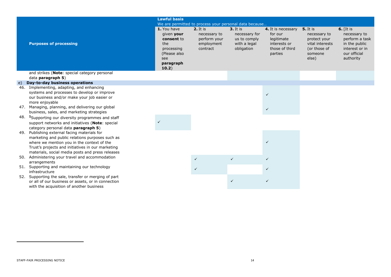|     |                                                                                                                                                                                                                                                    | <b>Lawful basis</b>                                                                                       |                                                                           |                                                                           |                                                                                          |                                                                                                        |                                                                                                               |
|-----|----------------------------------------------------------------------------------------------------------------------------------------------------------------------------------------------------------------------------------------------------|-----------------------------------------------------------------------------------------------------------|---------------------------------------------------------------------------|---------------------------------------------------------------------------|------------------------------------------------------------------------------------------|--------------------------------------------------------------------------------------------------------|---------------------------------------------------------------------------------------------------------------|
|     |                                                                                                                                                                                                                                                    |                                                                                                           | We are permitted to process your personal data because                    |                                                                           |                                                                                          |                                                                                                        |                                                                                                               |
|     | <b>Purposes of processing</b>                                                                                                                                                                                                                      | 1. You have<br>given your<br>consent to<br>the<br>processing<br>(Please also<br>see<br>paragraph<br>10.2) | <b>2.</b> It is<br>necessary to<br>perform your<br>employment<br>contract | $3.$ It is<br>necessary for<br>us to comply<br>with a legal<br>obligation | 4. It is necessary<br>for our<br>legitimate<br>interests or<br>those of third<br>parties | <b>5.</b> It is<br>necessary to<br>protect your<br>vital interests<br>(or those of<br>someone<br>else) | $6.$ [It is<br>necessary to<br>perform a task<br>in the public<br>interest or in<br>our official<br>authority |
|     | and strikes (Note: special category personal<br>data paragraph 5)                                                                                                                                                                                  |                                                                                                           |                                                                           |                                                                           |                                                                                          |                                                                                                        |                                                                                                               |
| e)  | Day-to-day business operations                                                                                                                                                                                                                     |                                                                                                           |                                                                           |                                                                           |                                                                                          |                                                                                                        |                                                                                                               |
|     | 46. Implementing, adapting, and enhancing<br>systems and processes to develop or improve<br>our business and/or make your job easier or<br>more enjoyable                                                                                          |                                                                                                           |                                                                           |                                                                           | $\checkmark$                                                                             |                                                                                                        |                                                                                                               |
|     | 47. Managing, planning, and delivering our global<br>business, sales, and marketing strategies                                                                                                                                                     |                                                                                                           |                                                                           |                                                                           | $\checkmark$                                                                             |                                                                                                        |                                                                                                               |
|     | 48. <sup>1</sup> Supporting our diversity programmes and staff<br>support networks and initiatives (Note: special<br>category personal data paragraph 5)                                                                                           | $\checkmark$                                                                                              |                                                                           |                                                                           |                                                                                          |                                                                                                        |                                                                                                               |
| 49. | Publishing external facing materials for<br>marketing and public relations purposes such as<br>where we mention you in the context of the<br>Trust's projects and initiatives in our marketing<br>materials, social media posts and press releases |                                                                                                           |                                                                           |                                                                           | $\checkmark$                                                                             |                                                                                                        |                                                                                                               |
|     | 50. Administering your travel and accommodation<br>arrangements                                                                                                                                                                                    |                                                                                                           | $\checkmark$                                                              | $\checkmark$                                                              | $\checkmark$                                                                             |                                                                                                        |                                                                                                               |
|     | 51. Supporting and maintaining our technology<br>infrastructure                                                                                                                                                                                    |                                                                                                           | $\checkmark$                                                              |                                                                           | $\checkmark$                                                                             |                                                                                                        |                                                                                                               |
|     | 52. Supporting the sale, transfer or merging of part<br>or all of our business or assets, or in connection<br>with the acquisition of another business                                                                                             |                                                                                                           |                                                                           | $\checkmark$                                                              | $\checkmark$                                                                             |                                                                                                        |                                                                                                               |
|     |                                                                                                                                                                                                                                                    |                                                                                                           |                                                                           |                                                                           |                                                                                          |                                                                                                        |                                                                                                               |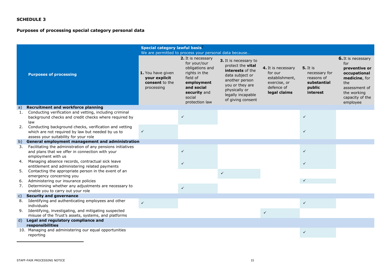## **Purposes of processing special category personal data**

|                |                                                                                                                                                      | Special category lawful basis <sup>2</sup>                         |                                                                                                                                                            |                                                                                                                                                                                          |                                                                                               |                                                                                     |                                                                                                                                                          |
|----------------|------------------------------------------------------------------------------------------------------------------------------------------------------|--------------------------------------------------------------------|------------------------------------------------------------------------------------------------------------------------------------------------------------|------------------------------------------------------------------------------------------------------------------------------------------------------------------------------------------|-----------------------------------------------------------------------------------------------|-------------------------------------------------------------------------------------|----------------------------------------------------------------------------------------------------------------------------------------------------------|
|                |                                                                                                                                                      |                                                                    | We are permitted to process your personal data because                                                                                                     |                                                                                                                                                                                          |                                                                                               |                                                                                     |                                                                                                                                                          |
|                | <b>Purposes of processing</b>                                                                                                                        | 1. You have given<br>your explicit<br>consent to the<br>processing | 2. It is necessary<br>for your/our<br>obligations and<br>rights in the<br>field of<br>employment<br>and social<br>security and<br>social<br>protection law | 3. It is necessary to<br>protect the <b>vital</b><br>interests of the<br>data subject or<br>another person<br>you or they are<br>physically or<br>legally incapable<br>of giving consent | 4. It is necessary<br>for our<br>establishment,<br>exercise, or<br>defence of<br>legal claims | <b>5.</b> It is<br>necessary for<br>reasons of<br>substantial<br>public<br>interest | <b>6.</b> It is necessary<br>for<br>preventive or<br>occupational<br>medicine, for<br>the<br>assessment of<br>the working<br>capacity of the<br>employee |
| a)             | <b>Recruitment and workforce planning</b>                                                                                                            |                                                                    |                                                                                                                                                            |                                                                                                                                                                                          |                                                                                               |                                                                                     |                                                                                                                                                          |
| 1.             | Conducting verification and vetting, including criminal<br>background checks and credit checks where required by<br>law                              |                                                                    | $\checkmark$                                                                                                                                               |                                                                                                                                                                                          |                                                                                               | $\checkmark$                                                                        |                                                                                                                                                          |
| 2.             | Conducting background checks, verification and vetting<br>which are not required by law but needed by us to<br>assess your suitability for your role | $\checkmark$                                                       |                                                                                                                                                            |                                                                                                                                                                                          |                                                                                               | ✓                                                                                   |                                                                                                                                                          |
| b)             | General employment management and administration                                                                                                     |                                                                    |                                                                                                                                                            |                                                                                                                                                                                          |                                                                                               |                                                                                     |                                                                                                                                                          |
| 3.             | Facilitating the administration of any pensions initiatives<br>and plans that we offer in connection with your<br>employment with us                 |                                                                    | $\checkmark$                                                                                                                                               |                                                                                                                                                                                          |                                                                                               | $\checkmark$                                                                        |                                                                                                                                                          |
| 4.             | Managing absence records, contractual sick leave<br>entitlement and administering related payments                                                   |                                                                    | $\checkmark$                                                                                                                                               |                                                                                                                                                                                          |                                                                                               | $\checkmark$                                                                        |                                                                                                                                                          |
| 5.             | Contacting the appropriate person in the event of an<br>emergency concerning you                                                                     |                                                                    |                                                                                                                                                            | $\checkmark$                                                                                                                                                                             |                                                                                               |                                                                                     |                                                                                                                                                          |
| 6.             | Administering our insurance policies                                                                                                                 |                                                                    |                                                                                                                                                            |                                                                                                                                                                                          |                                                                                               | $\checkmark$                                                                        |                                                                                                                                                          |
| 7.             | Determining whether any adjustments are necessary to<br>enable you to carry out your role                                                            |                                                                    | $\checkmark$                                                                                                                                               |                                                                                                                                                                                          |                                                                                               |                                                                                     |                                                                                                                                                          |
| $\mathsf{C}$ ) | <b>Security and governance</b>                                                                                                                       |                                                                    |                                                                                                                                                            |                                                                                                                                                                                          |                                                                                               |                                                                                     |                                                                                                                                                          |
| 8.             | Identifying and authenticating employees and other<br>individuals                                                                                    | $\checkmark$                                                       |                                                                                                                                                            |                                                                                                                                                                                          |                                                                                               | $\checkmark$                                                                        |                                                                                                                                                          |
| 9.             | Identifying, investigating, and mitigating suspected<br>misuse of the Trust's assets, systems, and platforms                                         |                                                                    |                                                                                                                                                            |                                                                                                                                                                                          | $\checkmark$                                                                                  |                                                                                     |                                                                                                                                                          |
| d)             | Legal and regulatory compliance and                                                                                                                  |                                                                    |                                                                                                                                                            |                                                                                                                                                                                          |                                                                                               |                                                                                     |                                                                                                                                                          |
|                | responsibilities                                                                                                                                     |                                                                    |                                                                                                                                                            |                                                                                                                                                                                          |                                                                                               |                                                                                     |                                                                                                                                                          |
|                | 10. Managing and administering our equal opportunities<br>reporting                                                                                  |                                                                    |                                                                                                                                                            |                                                                                                                                                                                          |                                                                                               | ✓                                                                                   |                                                                                                                                                          |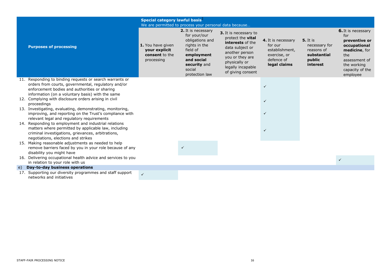|    |                                                                                                                                                                                                                      | Special category lawful basis <sup>2</sup>                         | We are permitted to process your personal data because                                                                                                     |                                                                                                                                                                                          |                                                                                               |                                                                                     |                                                                                                                                                          |
|----|----------------------------------------------------------------------------------------------------------------------------------------------------------------------------------------------------------------------|--------------------------------------------------------------------|------------------------------------------------------------------------------------------------------------------------------------------------------------|------------------------------------------------------------------------------------------------------------------------------------------------------------------------------------------|-----------------------------------------------------------------------------------------------|-------------------------------------------------------------------------------------|----------------------------------------------------------------------------------------------------------------------------------------------------------|
|    | <b>Purposes of processing</b>                                                                                                                                                                                        | 1. You have given<br>your explicit<br>consent to the<br>processing | 2. It is necessary<br>for your/our<br>obligations and<br>rights in the<br>field of<br>employment<br>and social<br>security and<br>social<br>protection law | 3. It is necessary to<br>protect the <b>vital</b><br>interests of the<br>data subject or<br>another person<br>you or they are<br>physically or<br>legally incapable<br>of giving consent | 4. It is necessary<br>for our<br>establishment,<br>exercise, or<br>defence of<br>legal claims | <b>5.</b> It is<br>necessary for<br>reasons of<br>substantial<br>public<br>interest | <b>6.</b> It is necessary<br>for<br>preventive or<br>occupational<br>medicine, for<br>the<br>assessment of<br>the working<br>capacity of the<br>employee |
|    | 11. Responding to binding requests or search warrants or<br>orders from courts, governmental, regulatory and/or<br>enforcement bodies and authorities or sharing<br>information (on a voluntary basis) with the same |                                                                    |                                                                                                                                                            |                                                                                                                                                                                          | $\checkmark$                                                                                  |                                                                                     |                                                                                                                                                          |
|    | 12. Complying with disclosure orders arising in civil<br>proceedings                                                                                                                                                 |                                                                    |                                                                                                                                                            |                                                                                                                                                                                          | $\checkmark$                                                                                  |                                                                                     |                                                                                                                                                          |
|    | 13. Investigating, evaluating, demonstrating, monitoring,<br>improving, and reporting on the Trust's compliance with<br>relevant legal and regulatory requirements                                                   |                                                                    |                                                                                                                                                            |                                                                                                                                                                                          | $\checkmark$                                                                                  |                                                                                     |                                                                                                                                                          |
|    | 14. Responding to employment and industrial relations<br>matters where permitted by applicable law, including<br>criminal investigations, grievances, arbitrations,<br>negotiations, elections and strikes           |                                                                    |                                                                                                                                                            |                                                                                                                                                                                          | $\checkmark$                                                                                  |                                                                                     |                                                                                                                                                          |
|    | 15. Making reasonable adjustments as needed to help<br>remove barriers faced by you in your role because of any<br>disability you might have                                                                         |                                                                    |                                                                                                                                                            |                                                                                                                                                                                          |                                                                                               |                                                                                     |                                                                                                                                                          |
|    | 16. Delivering occupational health advice and services to you<br>in relation to your role with us                                                                                                                    |                                                                    |                                                                                                                                                            |                                                                                                                                                                                          |                                                                                               |                                                                                     | $\checkmark$                                                                                                                                             |
| e) | <b>Day-to-day business operations</b>                                                                                                                                                                                |                                                                    |                                                                                                                                                            |                                                                                                                                                                                          |                                                                                               |                                                                                     |                                                                                                                                                          |
|    | 17. Supporting our diversity programmes and staff support<br>networks and initiatives                                                                                                                                | $\checkmark$                                                       |                                                                                                                                                            |                                                                                                                                                                                          |                                                                                               |                                                                                     |                                                                                                                                                          |